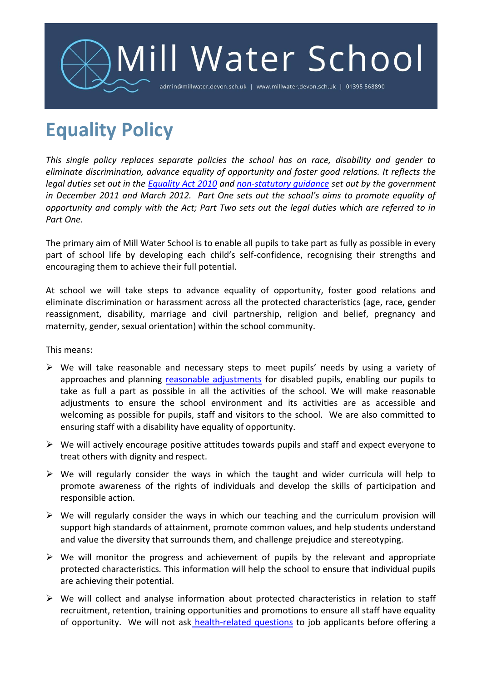

## **Equality Policy**

*This single policy replaces separate policies the school has on race, disability and gender to eliminate discrimination, advance equality of opportunity and foster good relations. It reflects the legal duties set out in the [Equality Act 2010](http://www.legislation.gov.uk/ukpga/2010/15/pdfs/ukpga_20100015_en.pdf) and [non-statutory guidance](http://www.equalityhumanrights.com/uploaded_files/EqualityAct/PSED/public_sector_equality_duty_guidance_for_schools_in_england_final.pdf) set out by the government in December 2011 and March 2012. Part One sets out the school's aims to promote equality of opportunity and comply with the Act; Part Two sets out the legal duties which are referred to in Part One.*

The primary aim of Mill Water School is to enable all pupils to take part as fully as possible in every part of school life by developing each child's self-confidence, recognising their strengths and encouraging them to achieve their full potential.

At school we will take steps to advance equality of opportunity, foster good relations and eliminate discrimination or harassment across all the protected characteristics (age, race, gender reassignment, disability, marriage and civil partnership, religion and belief, pregnancy and maternity, gender, sexual orientation) within the school community.

This means:

- $\triangleright$  We will take reasonable and necessary steps to meet pupils' needs by using a variety of approaches and planning [reasonable adjustments](#page-4-0) for disabled pupils, enabling our pupils to take as full a part as possible in all the activities of the school. We will make reasonable adjustments to ensure the school environment and its activities are as accessible and welcoming as possible for pupils, staff and visitors to the school. We are also committed to ensuring staff with a disability have equality of opportunity.
- $\triangleright$  We will actively encourage positive attitudes towards pupils and staff and expect everyone to treat others with dignity and respect.
- $\triangleright$  We will regularly consider the ways in which the taught and wider curricula will help to promote awareness of the rights of individuals and develop the skills of participation and responsible action.
- $\triangleright$  We will regularly consider the ways in which our teaching and the curriculum provision will support high standards of attainment, promote common values, and help students understand and value the diversity that surrounds them, and challenge prejudice and stereotyping.
- $\triangleright$  We will monitor the progress and achievement of pupils by the relevant and appropriate protected characteristics. This information will help the school to ensure that individual pupils are achieving their potential.
- $\triangleright$  We will collect and analyse information about protected characteristics in relation to staff recruitment, retention, training opportunities and promotions to ensure all staff have equality of opportunity. We will not ask [health-related questions](#page-5-0) to job applicants before offering a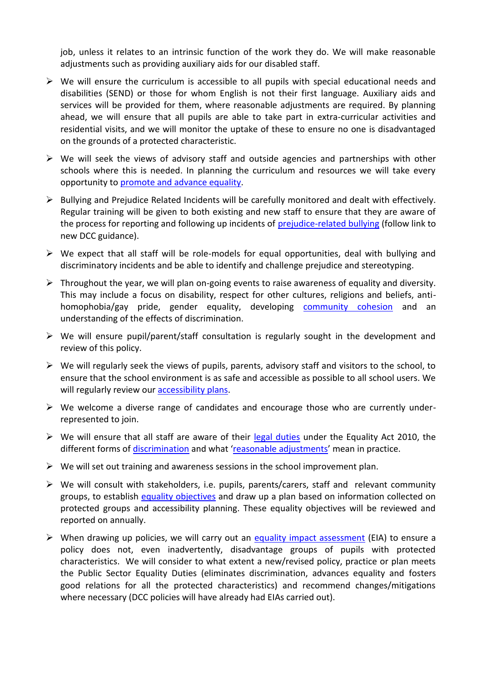job, unless it relates to an intrinsic function of the work they do. We will make reasonable adjustments such as providing auxiliary aids for our disabled staff.

- $\triangleright$  We will ensure the curriculum is accessible to all pupils with special educational needs and disabilities (SEND) or those for whom English is not their first language. Auxiliary aids and services will be provided for them, where reasonable adjustments are required. By planning ahead, we will ensure that all pupils are able to take part in extra-curricular activities and residential visits, and we will monitor the uptake of these to ensure no one is disadvantaged on the grounds of a protected characteristic.
- $\triangleright$  We will seek the views of advisory staff and outside agencies and partnerships with other schools where this is needed. In planning the curriculum and resources we will take every opportunity to promote and advance equality.
- Bullying and Prejudice Related Incidents will be carefully monitored and dealt with effectively. Regular training will be given to both existing and new staff to ensure that they are aware of the process for reporting and following up incidents of [prejudice-related bullying](http://www.babcock-education.co.uk/ldp/view_folder.asp?folderid=125847&depth=1&rootid=125847&level1=&level1id=) (follow link to new DCC guidance).
- $\triangleright$  We expect that all staff will be role-models for equal opportunities, deal with bullying and discriminatory incidents and be able to identify and challenge prejudice and stereotyping.
- $\triangleright$  Throughout the year, we will plan on-going events to raise awareness of equality and diversity. This may include a focus on disability, respect for other cultures, religions and beliefs, antihomophobia/gay pride, gender equality, developing [community cohesion](#page-6-0) and an understanding of the effects of discrimination.
- $\triangleright$  We will ensure pupil/parent/staff consultation is regularly sought in the development and review of this policy.
- $\triangleright$  We will regularly seek the views of pupils, parents, advisory staff and visitors to the school, to ensure that the school environment is as safe and accessible as possible to all school users. We will regularly review our **accessibility plans**.
- $\triangleright$  We welcome a diverse range of candidates and encourage those who are currently underrepresented to join.
- $\triangleright$  We will ensure that all staff are aware of their [legal duties](#page-2-0) under the Equality Act 2010, the different forms of [discrimination](#page-3-0) and what '[reasonable adjustments](#page-4-0)' mean in practice.
- $\triangleright$  We will set out training and awareness sessions in the school improvement plan.
- $\triangleright$  We will consult with stakeholders, i.e. pupils, parents/carers, staff and relevant community groups, to establish [equality objectives](#page-4-0) and draw up a plan based on information collected on protected groups and accessibility planning. These equality objectives will be reviewed and reported on annually.
- $\triangleright$  When drawing up policies, we will carry out an [equality impact assessment](http://www.devon.gov.uk/impact) (EIA) to ensure a policy does not, even inadvertently, disadvantage groups of pupils with protected characteristics. We will consider to what extent a new/revised policy, practice or plan meets the Public Sector Equality Duties (eliminates discrimination, advances equality and fosters good relations for all the protected characteristics) and recommend changes/mitigations where necessary (DCC policies will have already had EIAs carried out).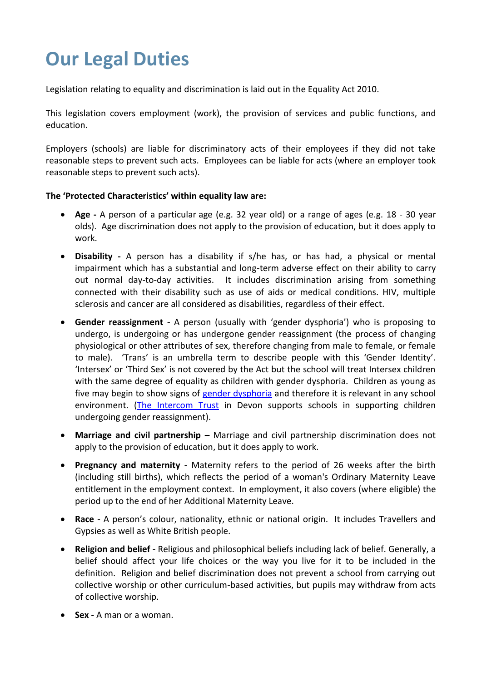# <span id="page-2-0"></span>**Our Legal Duties**

Legislation relating to equality and discrimination is laid out in the Equality Act 2010.

This legislation covers employment (work), the provision of services and public functions, and education.

Employers (schools) are liable for discriminatory acts of their employees if they did not take reasonable steps to prevent such acts. Employees can be liable for acts (where an employer took reasonable steps to prevent such acts).

### **The 'Protected Characteristics' within equality law are:**

- **Age -** A person of a particular age (e.g. 32 year old) or a range of ages (e.g. 18 30 year olds). Age discrimination does not apply to the provision of education, but it does apply to work.
- **Disability -** A person has a disability if s/he has, or has had, a physical or mental impairment which has a substantial and long-term adverse effect on their ability to carry out normal day-to-day activities. It includes discrimination arising from something connected with their disability such as use of aids or medical conditions. HIV, multiple sclerosis and cancer are all considered as disabilities, regardless of their effect.
- **Gender reassignment -** A person (usually with 'gender dysphoria') who is proposing to undergo, is undergoing or has undergone gender reassignment (the process of changing physiological or other attributes of sex, therefore changing from male to female, or female to male). 'Trans' is an umbrella term to describe people with this 'Gender Identity'. 'Intersex' or 'Third Sex' is not covered by the Act but the school will treat Intersex children with the same degree of equality as children with gender dysphoria. Children as young as five may begin to show signs of [gender dysphoria](#page-6-0) and therefore it is relevant in any school environment. [\(The Intercom Trust](http://www.intercomtrust.org.uk/portal.htm) in Devon supports schools in supporting children undergoing gender reassignment).
- **Marriage and civil partnership –** Marriage and civil partnership discrimination does not apply to the provision of education, but it does apply to work.
- **Pregnancy and maternity -** Maternity refers to the period of 26 weeks after the birth (including still births), which reflects the period of a woman's Ordinary Maternity Leave entitlement in the employment context. In employment, it also covers (where eligible) the period up to the end of her Additional Maternity Leave.
- **Race -** A person's colour, nationality, ethnic or national origin. It includes Travellers and Gypsies as well as White British people.
- **Religion and belief -** Religious and philosophical beliefs including lack of belief. Generally, a belief should affect your life choices or the way you live for it to be included in the definition. Religion and belief discrimination does not prevent a school from carrying out collective worship or other curriculum-based activities, but pupils may withdraw from acts of collective worship.
- **Sex -** A man or a woman.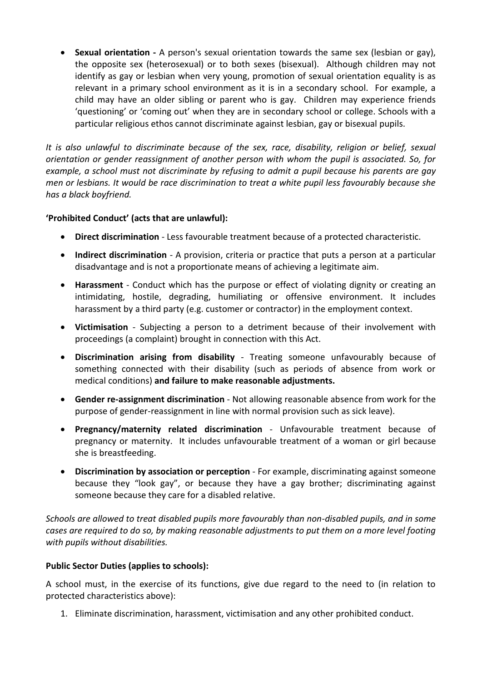**Sexual orientation -** A person's sexual orientation towards the same sex (lesbian or gay), the opposite sex (heterosexual) or to both sexes (bisexual). Although children may not identify as gay or lesbian when very young, promotion of sexual orientation equality is as relevant in a primary school environment as it is in a secondary school. For example, a child may have an older sibling or parent who is gay. Children may experience friends 'questioning' or 'coming out' when they are in secondary school or college. Schools with a particular religious ethos cannot discriminate against lesbian, gay or bisexual pupils.

*It is also unlawful to discriminate because of the sex, race, disability, religion or belief, sexual orientation or gender reassignment of another person with whom the pupil is associated. So, for example, a school must not discriminate by refusing to admit a pupil because his parents are gay men or lesbians. It would be race discrimination to treat a white pupil less favourably because she has a black boyfriend.*

## **'Prohibited Conduct' (acts that are unlawful):**

- <span id="page-3-0"></span>**Direct discrimination** - Less favourable treatment because of a protected characteristic.
- **Indirect discrimination** A provision, criteria or practice that puts a person at a particular disadvantage and is not a proportionate means of achieving a legitimate aim.
- **Harassment**  Conduct which has the purpose or effect of violating dignity or creating an intimidating, hostile, degrading, humiliating or offensive environment. It includes harassment by a third party (e.g. customer or contractor) in the employment context.
- **Victimisation** Subjecting a person to a detriment because of their involvement with proceedings (a complaint) brought in connection with this Act.
- **Discrimination arising from disability**  Treating someone unfavourably because of something connected with their disability (such as periods of absence from work or medical conditions) **and failure to make reasonable adjustments.**
- **Gender re-assignment discrimination**  Not allowing reasonable absence from work for the purpose of gender-reassignment in line with normal provision such as sick leave).
- **Pregnancy/maternity related discrimination**  Unfavourable treatment because of pregnancy or maternity. It includes unfavourable treatment of a woman or girl because she is breastfeeding.
- **Discrimination by association or perception** For example, discriminating against someone because they "look gay", or because they have a gay brother; discriminating against someone because they care for a disabled relative.

*Schools are allowed to treat disabled pupils more favourably than non-disabled pupils, and in some cases are required to do so, by making reasonable adjustments to put them on a more level footing with pupils without disabilities.*

## **Public Sector Duties (applies to schools):**

A school must, in the exercise of its functions, give due regard to the need to (in relation to protected characteristics above):

1. Eliminate discrimination, harassment, victimisation and any other prohibited conduct.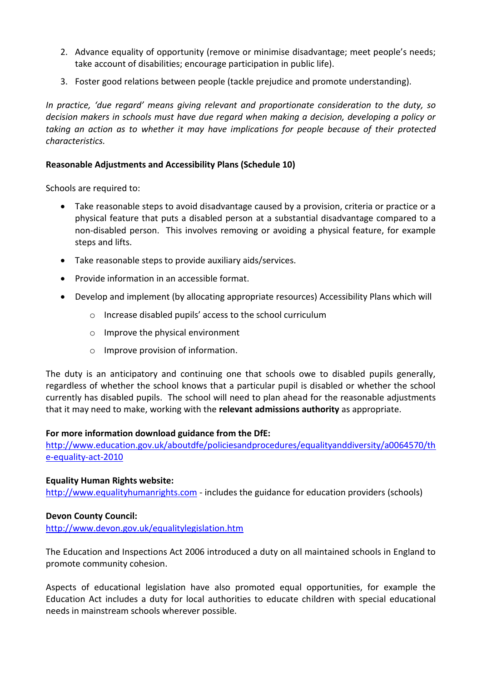- 2. Advance equality of opportunity (remove or minimise disadvantage; meet people's needs; take account of disabilities; encourage participation in public life).
- 3. Foster good relations between people (tackle prejudice and promote understanding).

*In practice, 'due regard' means giving relevant and proportionate consideration to the duty, so decision makers in schools must have due regard when making a decision, developing a policy or taking an action as to whether it may have implications for people because of their protected characteristics.*

### <span id="page-4-0"></span>**Reasonable Adjustments and Accessibility Plans (Schedule 10)**

Schools are required to:

- Take reasonable steps to avoid disadvantage caused by a provision, criteria or practice or a physical feature that puts a disabled person at a substantial disadvantage compared to a non-disabled person. This involves removing or avoiding a physical feature, for example steps and lifts.
- Take reasonable steps to provide auxiliary aids/services.
- Provide information in an accessible format.
- <span id="page-4-1"></span> Develop and implement (by allocating appropriate resources) Accessibility Plans which will
	- o Increase disabled pupils' access to the school curriculum
	- o Improve the physical environment
	- o Improve provision of information.

The duty is an anticipatory and continuing one that schools owe to disabled pupils generally, regardless of whether the school knows that a particular pupil is disabled or whether the school currently has disabled pupils. The school will need to plan ahead for the reasonable adjustments that it may need to make, working with the **relevant admissions authority** as appropriate.

### **For more information download guidance from the DfE:**

[http://www.education.gov.uk/aboutdfe/policiesandprocedures/equalityanddiversity/a0064570/th](http://www.education.gov.uk/aboutdfe/policiesandprocedures/equalityanddiversity/a0064570/the-equality-act-2010) [e-equality-act-2010](http://www.education.gov.uk/aboutdfe/policiesandprocedures/equalityanddiversity/a0064570/the-equality-act-2010)

### **Equality Human Rights website:**

[http://www.equalityhumanrights.com](http://www.equalityhumanrights.com/) - includes the guidance for education providers (schools)

### **Devon County Council:**

<http://www.devon.gov.uk/equalitylegislation.htm>

The Education and Inspections Act 2006 introduced a duty on all maintained schools in England to promote community cohesion.

Aspects of educational legislation have also promoted equal opportunities, for example the Education Act includes a duty for local authorities to educate children with special educational needs in mainstream schools wherever possible.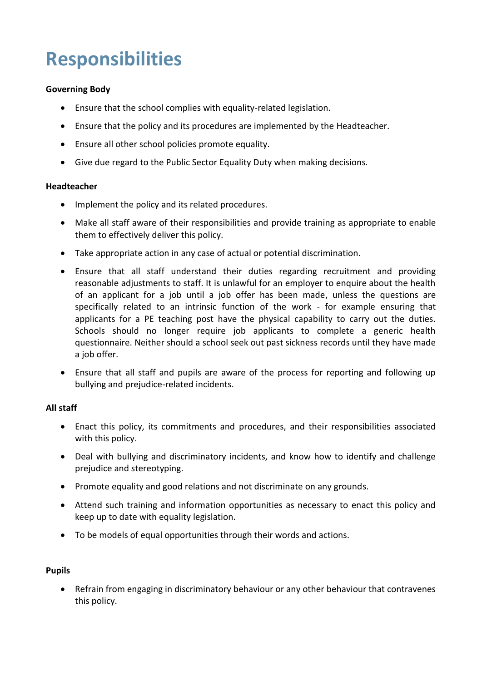## **Responsibilities**

### **Governing Body**

- Ensure that the school complies with equality-related legislation.
- Ensure that the policy and its procedures are implemented by the Headteacher.
- Ensure all other school policies promote equality.
- Give due regard to the Public Sector Equality Duty when making decisions.

#### **Headteacher**

- Implement the policy and its related procedures.
- Make all staff aware of their responsibilities and provide training as appropriate to enable them to effectively deliver this policy.
- Take appropriate action in any case of actual or potential discrimination.
- <span id="page-5-0"></span> Ensure that all staff understand their duties regarding recruitment and providing reasonable adjustments to staff. It is unlawful for an employer to enquire about the health of an applicant for a job until a job offer has been made, unless the questions are specifically related to an intrinsic function of the work - for example ensuring that applicants for a PE teaching post have the physical capability to carry out the duties. Schools should no longer require job applicants to complete a generic health questionnaire. Neither should a school seek out past sickness records until they have made a job offer.
- Ensure that all staff and pupils are aware of the process for reporting and following up bullying and prejudice-related incidents.

### **All staff**

- Enact this policy, its commitments and procedures, and their responsibilities associated with this policy.
- Deal with bullying and discriminatory incidents, and know how to identify and challenge prejudice and stereotyping.
- Promote equality and good relations and not discriminate on any grounds.
- Attend such training and information opportunities as necessary to enact this policy and keep up to date with equality legislation.
- To be models of equal opportunities through their words and actions.

### **Pupils**

 Refrain from engaging in discriminatory behaviour or any other behaviour that contravenes this policy.